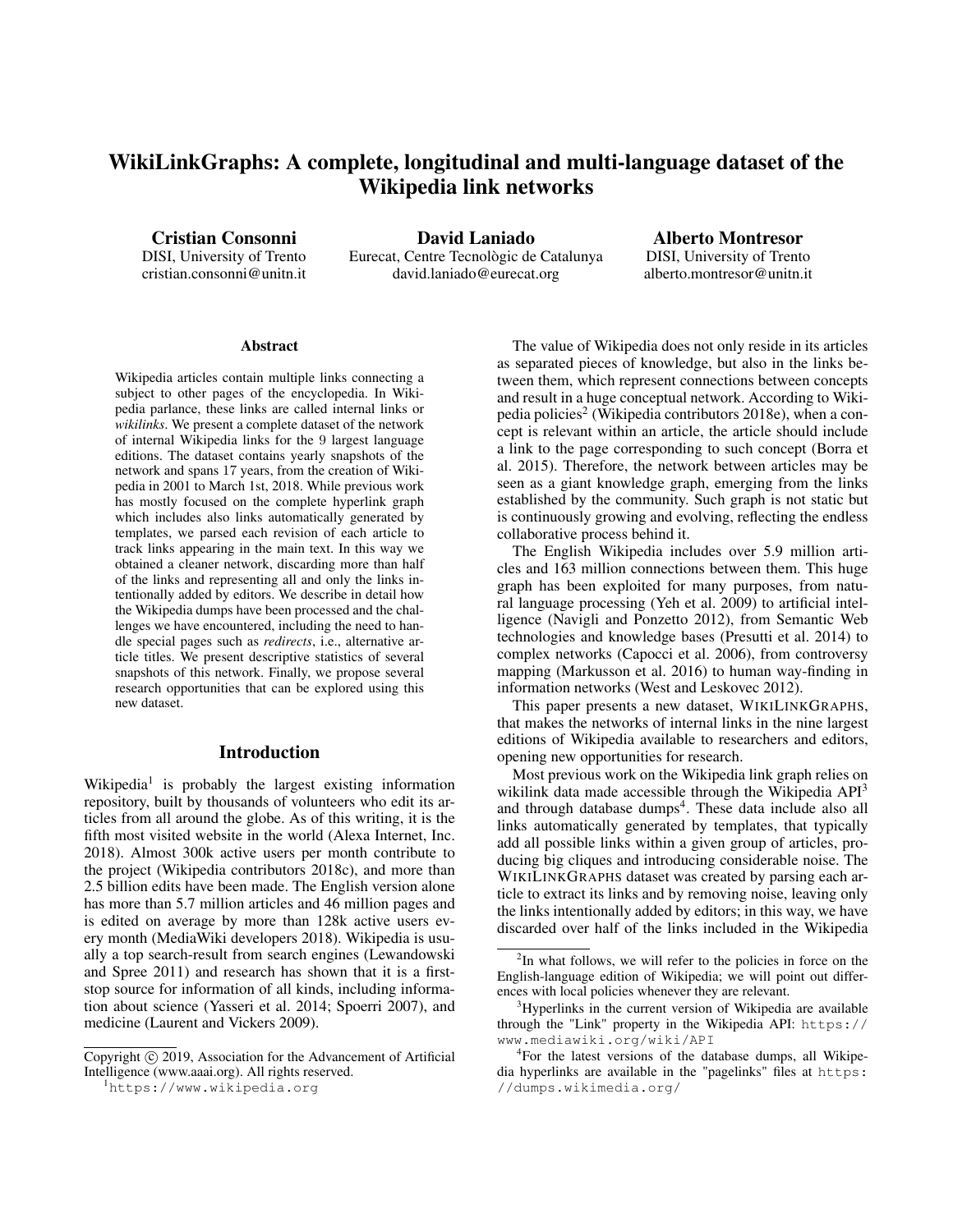# WikiLinkGraphs: A complete, longitudinal and multi-language dataset of the Wikipedia link networks

Cristian Consonni

DISI, University of Trento cristian.consonni@unitn.it

David Laniado Eurecat, Centre Tecnològic de Catalunya david.laniado@eurecat.org

Alberto Montresor DISI, University of Trento alberto.montresor@unitn.it

#### Abstract

Wikipedia articles contain multiple links connecting a subject to other pages of the encyclopedia. In Wikipedia parlance, these links are called internal links or *wikilinks*. We present a complete dataset of the network of internal Wikipedia links for the 9 largest language editions. The dataset contains yearly snapshots of the network and spans 17 years, from the creation of Wikipedia in 2001 to March 1st, 2018. While previous work has mostly focused on the complete hyperlink graph which includes also links automatically generated by templates, we parsed each revision of each article to track links appearing in the main text. In this way we obtained a cleaner network, discarding more than half of the links and representing all and only the links intentionally added by editors. We describe in detail how the Wikipedia dumps have been processed and the challenges we have encountered, including the need to handle special pages such as *redirects*, i.e., alternative article titles. We present descriptive statistics of several snapshots of this network. Finally, we propose several research opportunities that can be explored using this new dataset.

## Introduction

Wikipedia<sup>1</sup> is probably the largest existing information repository, built by thousands of volunteers who edit its articles from all around the globe. As of this writing, it is the fifth most visited website in the world (Alexa Internet, Inc. 2018). Almost 300k active users per month contribute to the project (Wikipedia contributors 2018c), and more than 2.5 billion edits have been made. The English version alone has more than 5.7 million articles and 46 million pages and is edited on average by more than 128k active users every month (MediaWiki developers 2018). Wikipedia is usually a top search-result from search engines (Lewandowski and Spree 2011) and research has shown that it is a firststop source for information of all kinds, including information about science (Yasseri et al. 2014; Spoerri 2007), and medicine (Laurent and Vickers 2009).

The value of Wikipedia does not only reside in its articles as separated pieces of knowledge, but also in the links between them, which represent connections between concepts and result in a huge conceptual network. According to Wikipedia policies<sup>2</sup> (Wikipedia contributors 2018e), when a concept is relevant within an article, the article should include a link to the page corresponding to such concept (Borra et al. 2015). Therefore, the network between articles may be seen as a giant knowledge graph, emerging from the links established by the community. Such graph is not static but is continuously growing and evolving, reflecting the endless collaborative process behind it.

The English Wikipedia includes over 5.9 million articles and 163 million connections between them. This huge graph has been exploited for many purposes, from natural language processing (Yeh et al. 2009) to artificial intelligence (Navigli and Ponzetto 2012), from Semantic Web technologies and knowledge bases (Presutti et al. 2014) to complex networks (Capocci et al. 2006), from controversy mapping (Markusson et al. 2016) to human way-finding in information networks (West and Leskovec 2012).

This paper presents a new dataset, WIKILINKGRAPHS, that makes the networks of internal links in the nine largest editions of Wikipedia available to researchers and editors, opening new opportunities for research.

Most previous work on the Wikipedia link graph relies on wikilink data made accessible through the Wikipedia  $API<sup>3</sup>$ and through database dumps<sup>4</sup>. These data include also all links automatically generated by templates, that typically add all possible links within a given group of articles, producing big cliques and introducing considerable noise. The WIKILINKGRAPHS dataset was created by parsing each article to extract its links and by removing noise, leaving only the links intentionally added by editors; in this way, we have discarded over half of the links included in the Wikipedia

Copyright (c) 2019, Association for the Advancement of Artificial Intelligence (www.aaai.org). All rights reserved.

<sup>1</sup>https://www.wikipedia.org

<sup>&</sup>lt;sup>2</sup>In what follows, we will refer to the policies in force on the English-language edition of Wikipedia; we will point out differences with local policies whenever they are relevant.

<sup>&</sup>lt;sup>3</sup>Hyperlinks in the current version of Wikipedia are available through the "Link" property in the Wikipedia API: https:// www.mediawiki.org/wiki/API

<sup>4</sup> For the latest versions of the database dumps, all Wikipedia hyperlinks are available in the "pagelinks" files at https: //dumps.wikimedia.org/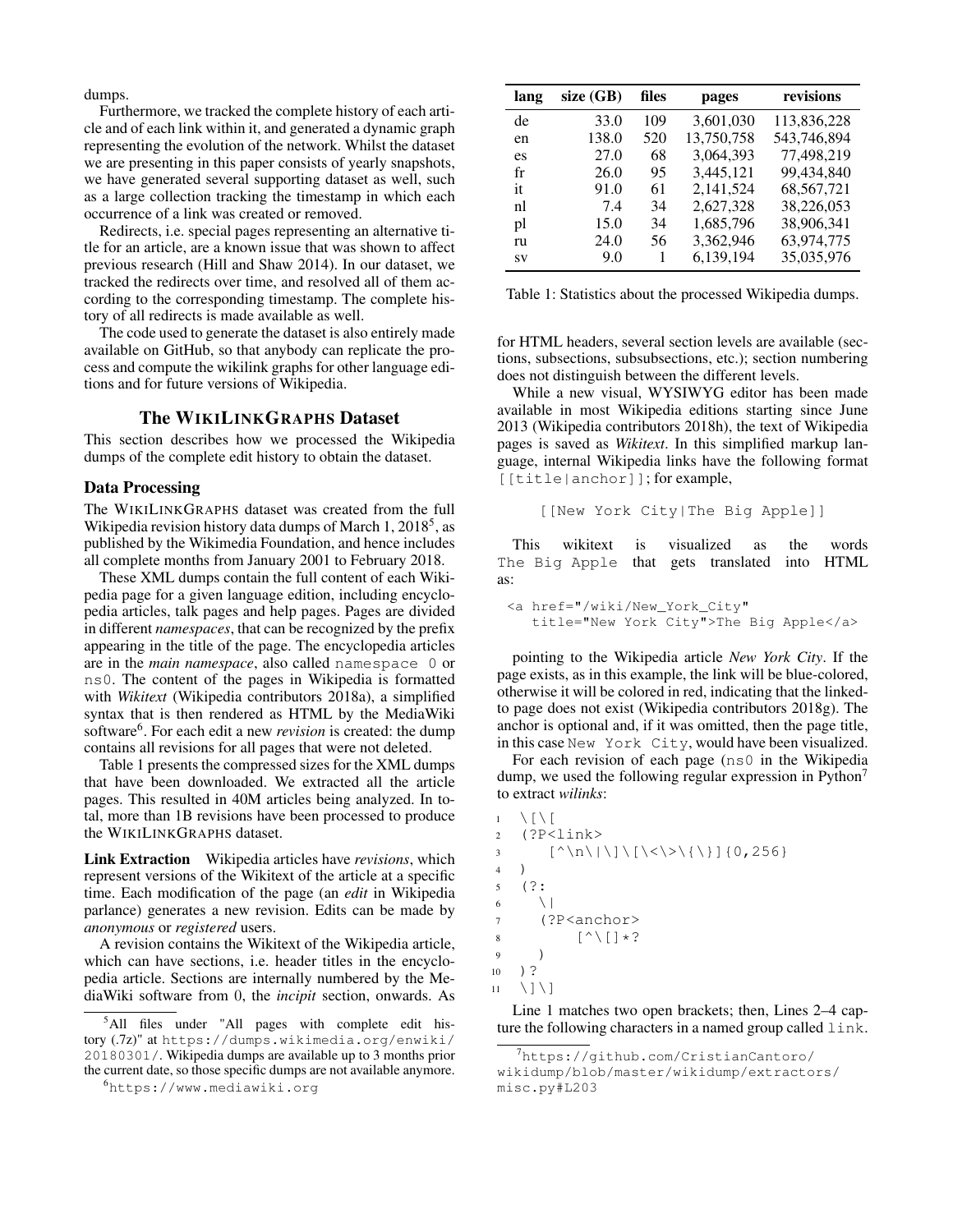dumps.

Furthermore, we tracked the complete history of each article and of each link within it, and generated a dynamic graph representing the evolution of the network. Whilst the dataset we are presenting in this paper consists of yearly snapshots, we have generated several supporting dataset as well, such as a large collection tracking the timestamp in which each occurrence of a link was created or removed.

Redirects, i.e. special pages representing an alternative title for an article, are a known issue that was shown to affect previous research (Hill and Shaw 2014). In our dataset, we tracked the redirects over time, and resolved all of them according to the corresponding timestamp. The complete history of all redirects is made available as well.

The code used to generate the dataset is also entirely made available on GitHub, so that anybody can replicate the process and compute the wikilink graphs for other language editions and for future versions of Wikipedia.

#### The WIKILINKGRAPHS Dataset

This section describes how we processed the Wikipedia dumps of the complete edit history to obtain the dataset.

#### Data Processing

The WIKILINKGRAPHS dataset was created from the full Wikipedia revision history data dumps of March 1, 2018<sup>5</sup>, as published by the Wikimedia Foundation, and hence includes all complete months from January 2001 to February 2018.

These XML dumps contain the full content of each Wikipedia page for a given language edition, including encyclopedia articles, talk pages and help pages. Pages are divided in different *namespaces*, that can be recognized by the prefix appearing in the title of the page. The encyclopedia articles are in the *main namespace*, also called namespace 0 or ns0. The content of the pages in Wikipedia is formatted with *Wikitext* (Wikipedia contributors 2018a), a simplified syntax that is then rendered as HTML by the MediaWiki software<sup>6</sup>. For each edit a new *revision* is created: the dump contains all revisions for all pages that were not deleted.

Table 1 presents the compressed sizes for the XML dumps that have been downloaded. We extracted all the article pages. This resulted in 40M articles being analyzed. In total, more than 1B revisions have been processed to produce the WIKILINKGRAPHS dataset.

Link Extraction Wikipedia articles have *revisions*, which represent versions of the Wikitext of the article at a specific time. Each modification of the page (an *edit* in Wikipedia parlance) generates a new revision. Edits can be made by *anonymous* or *registered* users.

A revision contains the Wikitext of the Wikipedia article, which can have sections, i.e. header titles in the encyclopedia article. Sections are internally numbered by the MediaWiki software from 0, the *incipit* section, onwards. As

<sup>6</sup>https://www.mediawiki.org

| lang      | size (GB) | files | pages      | revisions    |
|-----------|-----------|-------|------------|--------------|
| de        | 33.0      | 109   | 3,601,030  | 113,836,228  |
| en        | 138.0     | 520   | 13,750,758 | 543,746,894  |
| es        | 27.0      | 68    | 3,064,393  | 77,498,219   |
| fr        | 26.0      | 95    | 3,445,121  | 99,434,840   |
| it        | 91.0      | 61    | 2,141,524  | 68, 567, 721 |
| nl        | 7.4       | 34    | 2,627,328  | 38,226,053   |
| pl        | 15.0      | 34    | 1,685,796  | 38,906,341   |
| ru        | 24.0      | 56    | 3,362,946  | 63,974,775   |
| <b>SV</b> | 9.0       | 1     | 6,139,194  | 35,035,976   |

Table 1: Statistics about the processed Wikipedia dumps.

for HTML headers, several section levels are available (sections, subsections, subsubsections, etc.); section numbering does not distinguish between the different levels.

While a new visual, WYSIWYG editor has been made available in most Wikipedia editions starting since June 2013 (Wikipedia contributors 2018h), the text of Wikipedia pages is saved as *Wikitext*. In this simplified markup language, internal Wikipedia links have the following format [[title|anchor]]; for example,

```
[[New York City|The Big Apple]]
```
This wikitext is visualized as the words The Big Apple that gets translated into HTML as:

```
<a href="/wiki/New_York_City"
  title="New York City">The Big Apple</a>
```
pointing to the Wikipedia article *New York City*. If the page exists, as in this example, the link will be blue-colored, otherwise it will be colored in red, indicating that the linkedto page does not exist (Wikipedia contributors 2018g). The anchor is optional and, if it was omitted, then the page title, in this case New York City, would have been visualized.

For each revision of each page (ns0 in the Wikipedia dump, we used the following regular expression in Python<sup>7</sup> to extract *wilinks*:

```
1 \quad \setminus [\ \setminus [2 (?P<link>
 3 [\hat{\wedge} \ln \setminus | \setminus ] \setminus [\setminus \langle \setminus \rangle \setminus \setminus \setminus ] \setminus [0, 256]4 )
 5 (?:
6 \qquad \setminus7 (?P<anchor>
 8 \lceil \wedge \lceil \cdot \rceil \star?9 )
10 )?
11 \quad \setminus ] \setminus ]
```
Line 1 matches two open brackets; then, Lines 2–4 capture the following characters in a named group called link.

<sup>5</sup>All files under "All pages with complete edit history (.7z)" at https://dumps.wikimedia.org/enwiki/ 20180301/. Wikipedia dumps are available up to 3 months prior the current date, so those specific dumps are not available anymore.

<sup>7</sup>https://github.com/CristianCantoro/ wikidump/blob/master/wikidump/extractors/ misc.py#L203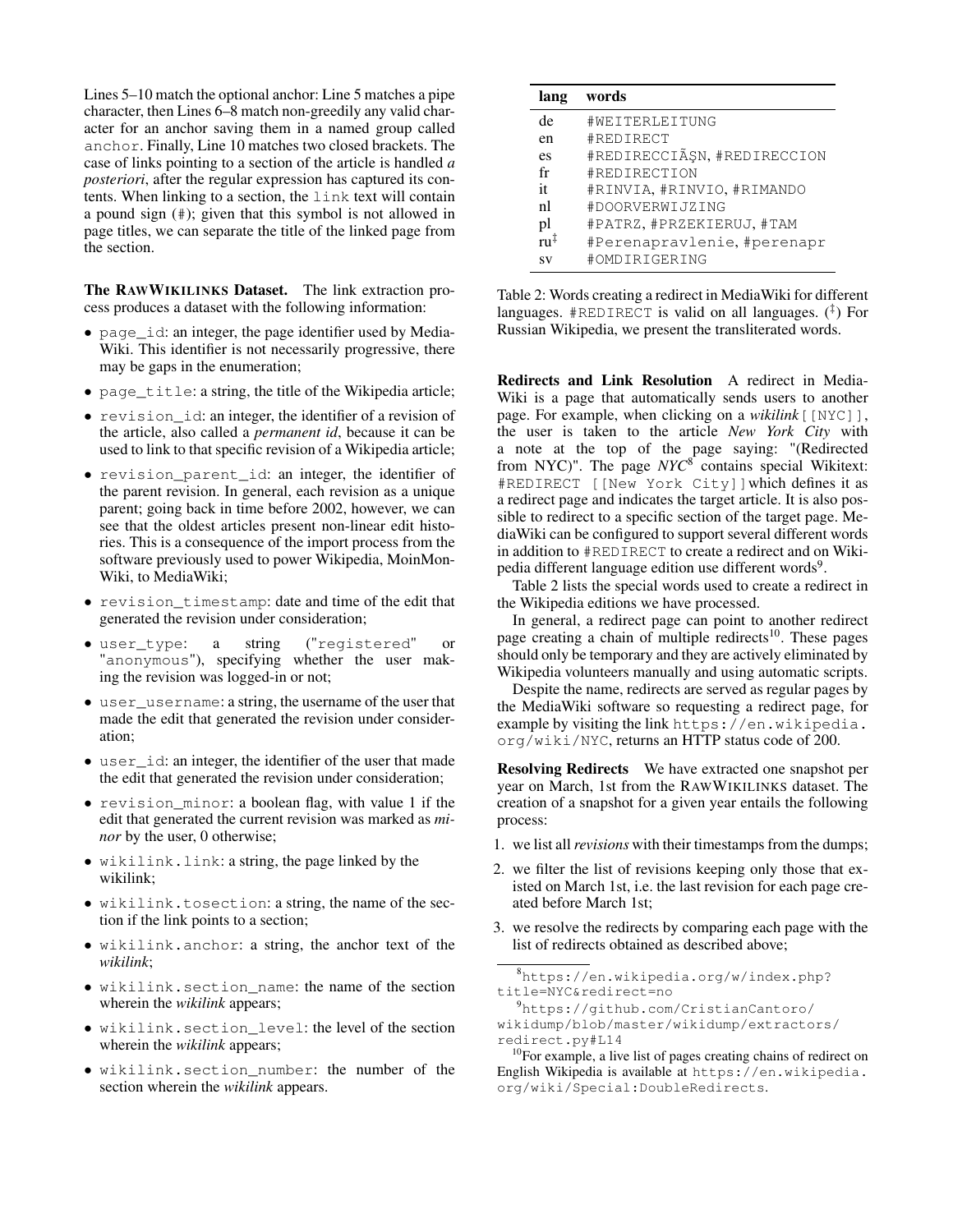Lines 5–10 match the optional anchor: Line 5 matches a pipe character, then Lines 6–8 match non-greedily any valid character for an anchor saving them in a named group called anchor. Finally, Line 10 matches two closed brackets. The case of links pointing to a section of the article is handled *a posteriori*, after the regular expression has captured its contents. When linking to a section, the link text will contain a pound sign (#); given that this symbol is not allowed in page titles, we can separate the title of the linked page from the section.

The RAWWIKILINKS Dataset. The link extraction process produces a dataset with the following information:

- page id: an integer, the page identifier used by Media-Wiki. This identifier is not necessarily progressive, there may be gaps in the enumeration;
- page\_title: a string, the title of the Wikipedia article;
- revision\_id: an integer, the identifier of a revision of the article, also called a *permanent id*, because it can be used to link to that specific revision of a Wikipedia article;
- revision\_parent\_id: an integer, the identifier of the parent revision. In general, each revision as a unique parent; going back in time before 2002, however, we can see that the oldest articles present non-linear edit histories. This is a consequence of the import process from the software previously used to power Wikipedia, MoinMon-Wiki, to MediaWiki;
- revision\_timestamp: date and time of the edit that generated the revision under consideration;
- user\_type: a string ("registered" or "anonymous"), specifying whether the user making the revision was logged-in or not;
- user\_username: a string, the username of the user that made the edit that generated the revision under consideration;
- user\_id: an integer, the identifier of the user that made the edit that generated the revision under consideration;
- revision\_minor: a boolean flag, with value 1 if the edit that generated the current revision was marked as *minor* by the user, 0 otherwise;
- wikilink.link: a string, the page linked by the wikilink;
- wikilink.tosection: a string, the name of the section if the link points to a section;
- wikilink.anchor: a string, the anchor text of the *wikilink*;
- wikilink.section\_name: the name of the section wherein the *wikilink* appears;
- wikilink.section\_level: the level of the section wherein the *wikilink* appears;
- wikilink.section\_number: the number of the section wherein the *wikilink* appears.

| lang           | words                       |
|----------------|-----------------------------|
| de             | #WEITERLEITUNG              |
| en             | #REDIRECT                   |
| es             | #REDIRECCIÃȘN, #REDIRECCION |
| fr             | #REDIRECTION                |
| it             | #RINVIA, #RINVIO, #RIMANDO  |
| n1             | #DOORVERWIJZING             |
| pl             | #PATRZ, #PRZEKIERUJ, #TAM   |
| $m^{\ddagger}$ | #Perenapravlenie, #perenapr |
| <b>SV</b>      | #OMDIRIGERING               |

Table 2: Words creating a redirect in MediaWiki for different languages. #REDIRECT is valid on all languages. (‡ ) For Russian Wikipedia, we present the transliterated words.

Redirects and Link Resolution A redirect in Media-Wiki is a page that automatically sends users to another page. For example, when clicking on a *wikilink*[[NYC]], the user is taken to the article *New York City* with a note at the top of the page saying: "(Redirected from NYC)". The page NYC<sup>8</sup> contains special Wikitext: #REDIRECT [[New York City]]which defines it as a redirect page and indicates the target article. It is also possible to redirect to a specific section of the target page. MediaWiki can be configured to support several different words in addition to #REDIRECT to create a redirect and on Wikipedia different language edition use different words<sup>9</sup>.

Table 2 lists the special words used to create a redirect in the Wikipedia editions we have processed.

In general, a redirect page can point to another redirect page creating a chain of multiple redirects<sup>10</sup>. These pages should only be temporary and they are actively eliminated by Wikipedia volunteers manually and using automatic scripts.

Despite the name, redirects are served as regular pages by the MediaWiki software so requesting a redirect page, for example by visiting the link https://en.wikipedia. org/wiki/NYC, returns an HTTP status code of 200.

Resolving Redirects We have extracted one snapshot per year on March, 1st from the RAWWIKILINKS dataset. The creation of a snapshot for a given year entails the following process:

- 1. we list all*revisions* with their timestamps from the dumps;
- 2. we filter the list of revisions keeping only those that existed on March 1st, i.e. the last revision for each page created before March 1st;
- 3. we resolve the redirects by comparing each page with the list of redirects obtained as described above;

<sup>8</sup>https://en.wikipedia.org/w/index.php? title=NYC&redirect=no

<sup>9</sup>https://github.com/CristianCantoro/ wikidump/blob/master/wikidump/extractors/

redirect.py#L14  $10$ For example, a live list of pages creating chains of redirect on

English Wikipedia is available at https://en.wikipedia. org/wiki/Special:DoubleRedirects.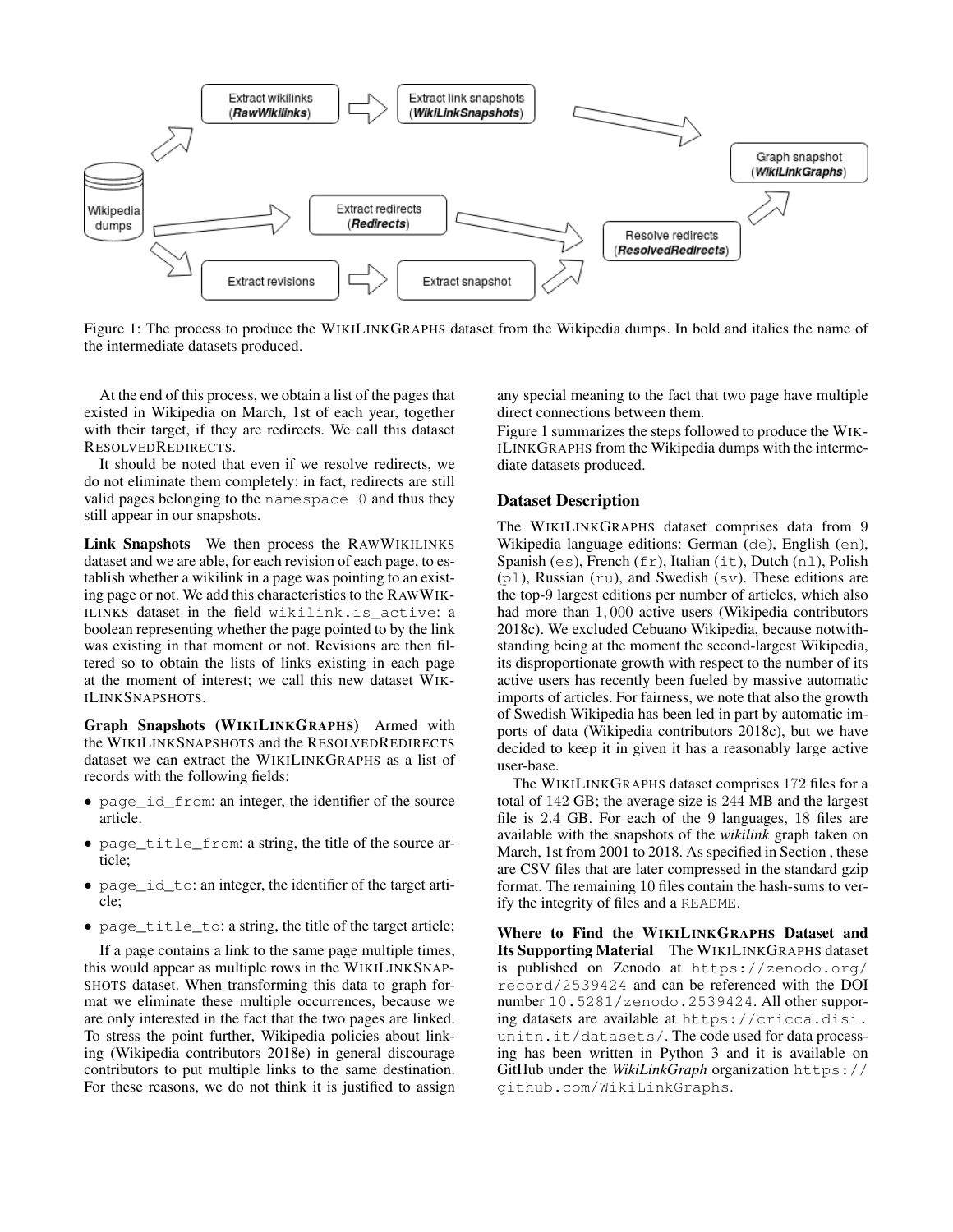

Figure 1: The process to produce the WIKILINKGRAPHS dataset from the Wikipedia dumps. In bold and italics the name of the intermediate datasets produced.

At the end of this process, we obtain a list of the pages that existed in Wikipedia on March, 1st of each year, together with their target, if they are redirects. We call this dataset RESOLVEDREDIRECTS.

It should be noted that even if we resolve redirects, we do not eliminate them completely: in fact, redirects are still valid pages belonging to the namespace 0 and thus they still appear in our snapshots.

Link Snapshots We then process the RAWWIKILINKS dataset and we are able, for each revision of each page, to establish whether a wikilink in a page was pointing to an existing page or not. We add this characteristics to the RAWWIK-ILINKS dataset in the field wikilink.is\_active: a boolean representing whether the page pointed to by the link was existing in that moment or not. Revisions are then filtered so to obtain the lists of links existing in each page at the moment of interest; we call this new dataset WIK-ILINKSNAPSHOTS.

Graph Snapshots (WIKILINKGRAPHS) Armed with the WIKILINKSNAPSHOTS and the RESOLVEDREDIRECTS dataset we can extract the WIKILINKGRAPHS as a list of records with the following fields:

- page\_id\_from: an integer, the identifier of the source article.
- page\_title\_from: a string, the title of the source article;
- page\_id\_to: an integer, the identifier of the target article;
- page title to: a string, the title of the target article;

If a page contains a link to the same page multiple times, this would appear as multiple rows in the WIKILINKSNAP-SHOTS dataset. When transforming this data to graph format we eliminate these multiple occurrences, because we are only interested in the fact that the two pages are linked. To stress the point further, Wikipedia policies about linking (Wikipedia contributors 2018e) in general discourage contributors to put multiple links to the same destination. For these reasons, we do not think it is justified to assign any special meaning to the fact that two page have multiple direct connections between them.

Figure 1 summarizes the steps followed to produce the WIK-ILINKGRAPHS from the Wikipedia dumps with the intermediate datasets produced.

#### Dataset Description

The WIKILINKGRAPHS dataset comprises data from 9 Wikipedia language editions: German (de), English (en), Spanish (es), French ( $fr$ ), Italian ( $it$ ), Dutch (n1), Polish  $(p_1)$ , Russian (ru), and Swedish (sv). These editions are the top-9 largest editions per number of articles, which also had more than 1, 000 active users (Wikipedia contributors 2018c). We excluded Cebuano Wikipedia, because notwithstanding being at the moment the second-largest Wikipedia, its disproportionate growth with respect to the number of its active users has recently been fueled by massive automatic imports of articles. For fairness, we note that also the growth of Swedish Wikipedia has been led in part by automatic imports of data (Wikipedia contributors 2018c), but we have decided to keep it in given it has a reasonably large active user-base.

The WIKILINKGRAPHS dataset comprises 172 files for a total of 142 GB; the average size is 244 MB and the largest file is 2.4 GB. For each of the 9 languages, 18 files are available with the snapshots of the *wikilink* graph taken on March, 1st from 2001 to 2018. As specified in Section , these are CSV files that are later compressed in the standard gzip format. The remaining 10 files contain the hash-sums to verify the integrity of files and a README.

Where to Find the WIKILINKGRAPHS Dataset and Its Supporting Material The WIKILINKGRAPHS dataset is published on Zenodo at https://zenodo.org/ record/2539424 and can be referenced with the DOI number 10.5281/zenodo.2539424. All other supporing datasets are available at https://cricca.disi. unitn.it/datasets/. The code used for data processing has been written in Python 3 and it is available on GitHub under the *WikiLinkGraph* organization https:// github.com/WikiLinkGraphs.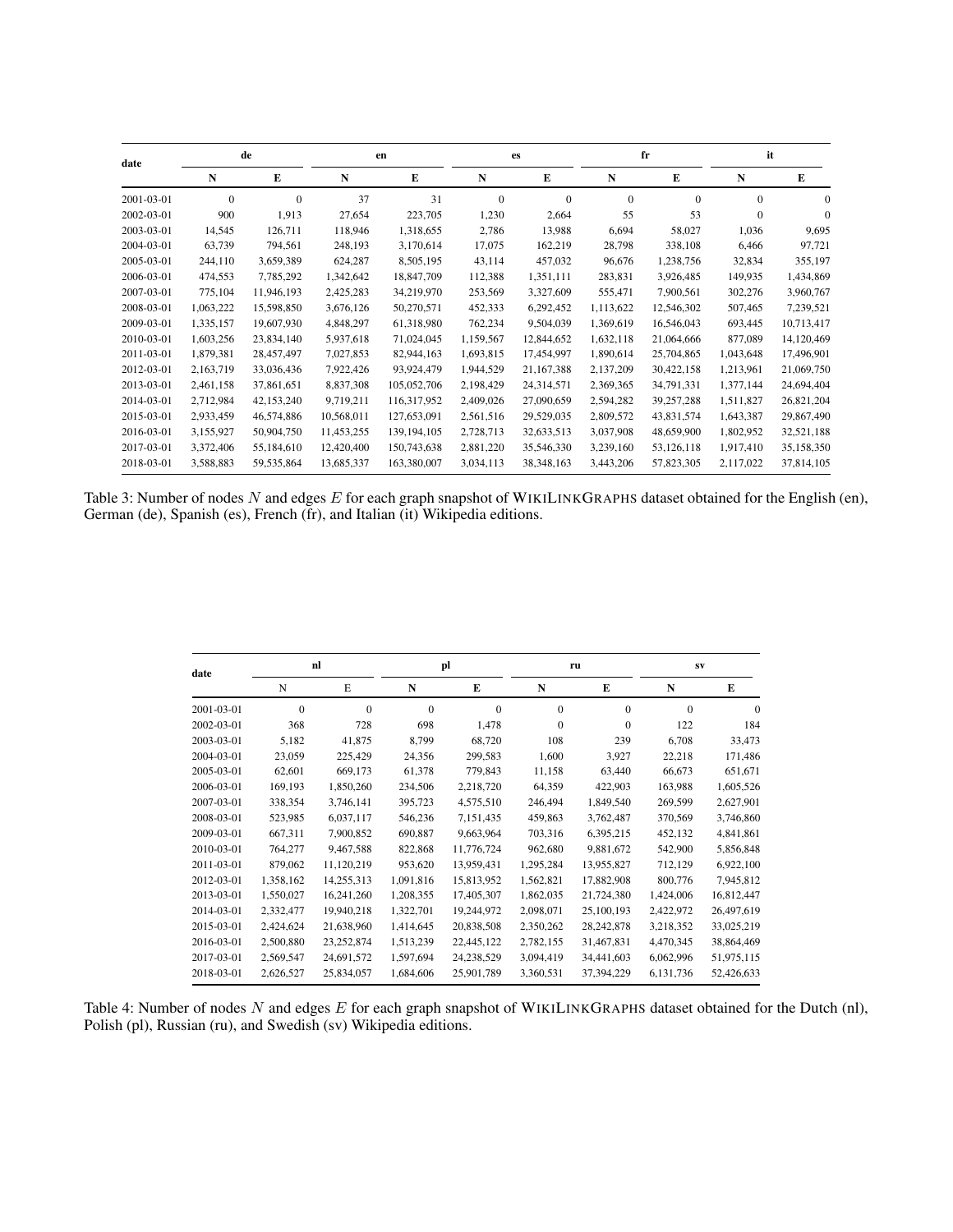| date       | de        |            | en         |               | es           |              |           | fr         | it           |            |
|------------|-----------|------------|------------|---------------|--------------|--------------|-----------|------------|--------------|------------|
|            | N         | E          | N          | E             | N            | E            | N         | E          | N            | Е          |
| 2001-03-01 | $\Omega$  | $\Omega$   | 37         | 31            | $\mathbf{0}$ | $\Omega$     | $\Omega$  | $\Omega$   | $\mathbf{0}$ | $\Omega$   |
| 2002-03-01 | 900       | 1,913      | 27,654     | 223,705       | 1,230        | 2,664        | 55        | 53         | $\mathbf{0}$ | $\Omega$   |
| 2003-03-01 | 14,545    | 126,711    | 118,946    | 1,318,655     | 2,786        | 13,988       | 6,694     | 58,027     | 1,036        | 9,695      |
| 2004-03-01 | 63,739    | 794,561    | 248,193    | 3,170,614     | 17,075       | 162,219      | 28,798    | 338,108    | 6,466        | 97,721     |
| 2005-03-01 | 244,110   | 3,659,389  | 624,287    | 8,505,195     | 43,114       | 457,032      | 96,676    | 1,238,756  | 32,834       | 355,197    |
| 2006-03-01 | 474,553   | 7,785,292  | 1,342,642  | 18,847,709    | 112,388      | 1,351,111    | 283,831   | 3,926,485  | 149,935      | 1,434,869  |
| 2007-03-01 | 775,104   | 11,946,193 | 2,425,283  | 34,219,970    | 253,569      | 3,327,609    | 555,471   | 7,900,561  | 302,276      | 3,960,767  |
| 2008-03-01 | 1,063,222 | 15,598,850 | 3,676,126  | 50,270,571    | 452,333      | 6,292,452    | 1,113,622 | 12,546,302 | 507,465      | 7,239,521  |
| 2009-03-01 | 1,335,157 | 19,607,930 | 4,848,297  | 61,318,980    | 762,234      | 9,504,039    | 1,369,619 | 16,546,043 | 693,445      | 10,713,417 |
| 2010-03-01 | 1,603,256 | 23,834,140 | 5,937,618  | 71,024,045    | 1,159,567    | 12,844,652   | 1,632,118 | 21,064,666 | 877,089      | 14,120,469 |
| 2011-03-01 | 1,879,381 | 28,457,497 | 7,027,853  | 82,944,163    | 1,693,815    | 17,454,997   | 1,890,614 | 25,704,865 | 1,043,648    | 17,496,901 |
| 2012-03-01 | 2,163,719 | 33,036,436 | 7,922,426  | 93,924,479    | 1,944,529    | 21, 167, 388 | 2,137,209 | 30,422,158 | 1,213,961    | 21,069,750 |
| 2013-03-01 | 2,461,158 | 37,861,651 | 8,837,308  | 105,052,706   | 2,198,429    | 24,314,571   | 2,369,365 | 34,791,331 | 1,377,144    | 24,694,404 |
| 2014-03-01 | 2,712,984 | 42,153,240 | 9,719,211  | 116,317,952   | 2,409,026    | 27,090,659   | 2,594,282 | 39,257,288 | 1,511,827    | 26,821,204 |
| 2015-03-01 | 2,933,459 | 46,574,886 | 10,568,011 | 127,653,091   | 2,561,516    | 29,529,035   | 2,809,572 | 43,831,574 | 1,643,387    | 29,867,490 |
| 2016-03-01 | 3,155,927 | 50,904,750 | 11,453,255 | 139, 194, 105 | 2,728,713    | 32,633,513   | 3,037,908 | 48,659,900 | 1,802,952    | 32,521,188 |
| 2017-03-01 | 3,372,406 | 55,184,610 | 12,420,400 | 150,743,638   | 2,881,220    | 35,546,330   | 3,239,160 | 53,126,118 | 1,917,410    | 35,158,350 |
| 2018-03-01 | 3,588,883 | 59,535,864 | 13,685,337 | 163,380,007   | 3,034,113    | 38, 348, 163 | 3,443,206 | 57,823,305 | 2,117,022    | 37,814,105 |

Table 3: Number of nodes  $N$  and edges  $E$  for each graph snapshot of WIKILINKGRAPHS dataset obtained for the English (en), German (de), Spanish (es), French (fr), and Italian (it) Wikipedia editions.

| date       | nl        |            |           | pl         |           | ru           | SV        |            |
|------------|-----------|------------|-----------|------------|-----------|--------------|-----------|------------|
|            | N         | E          | N         | E          | N         | E            | N         | E          |
| 2001-03-01 | $\Omega$  | $\Omega$   | $\Omega$  | $\Omega$   | $\Omega$  | $\Omega$     | $\Omega$  | $\Omega$   |
| 2002-03-01 | 368       | 728        | 698       | 1,478      | $\Omega$  | $\theta$     | 122       | 184        |
| 2003-03-01 | 5,182     | 41,875     | 8,799     | 68,720     | 108       | 239          | 6,708     | 33,473     |
| 2004-03-01 | 23,059    | 225,429    | 24,356    | 299,583    | 1,600     | 3,927        | 22,218    | 171,486    |
| 2005-03-01 | 62,601    | 669,173    | 61,378    | 779,843    | 11,158    | 63,440       | 66,673    | 651,671    |
| 2006-03-01 | 169,193   | 1,850,260  | 234,506   | 2,218,720  | 64,359    | 422,903      | 163,988   | 1,605,526  |
| 2007-03-01 | 338,354   | 3,746,141  | 395,723   | 4,575,510  | 246,494   | 1,849,540    | 269,599   | 2,627,901  |
| 2008-03-01 | 523,985   | 6,037,117  | 546,236   | 7,151,435  | 459,863   | 3,762,487    | 370,569   | 3,746,860  |
| 2009-03-01 | 667,311   | 7,900,852  | 690,887   | 9,663,964  | 703,316   | 6,395,215    | 452,132   | 4,841,861  |
| 2010-03-01 | 764,277   | 9,467,588  | 822,868   | 11,776,724 | 962,680   | 9,881,672    | 542,900   | 5,856,848  |
| 2011-03-01 | 879,062   | 11,120,219 | 953,620   | 13,959,431 | 1,295,284 | 13,955,827   | 712,129   | 6,922,100  |
| 2012-03-01 | 1,358,162 | 14,255,313 | 1,091,816 | 15,813,952 | 1,562,821 | 17,882,908   | 800,776   | 7,945,812  |
| 2013-03-01 | 1,550,027 | 16,241,260 | 1,208,355 | 17,405,307 | 1,862,035 | 21,724,380   | 1,424,006 | 16,812,447 |
| 2014-03-01 | 2,332,477 | 19,940,218 | 1,322,701 | 19,244,972 | 2,098,071 | 25,100,193   | 2,422,972 | 26,497,619 |
| 2015-03-01 | 2,424,624 | 21,638,960 | 1,414,645 | 20,838,508 | 2,350,262 | 28, 242, 878 | 3,218,352 | 33,025,219 |
| 2016-03-01 | 2,500,880 | 23,252,874 | 1,513,239 | 22,445,122 | 2,782,155 | 31,467,831   | 4,470,345 | 38,864,469 |
| 2017-03-01 | 2,569,547 | 24,691,572 | 1,597,694 | 24,238,529 | 3,094,419 | 34,441,603   | 6,062,996 | 51,975,115 |
| 2018-03-01 | 2,626,527 | 25,834,057 | 1,684,606 | 25,901,789 | 3,360,531 | 37, 394, 229 | 6,131,736 | 52,426,633 |

Table 4: Number of nodes  $N$  and edges  $E$  for each graph snapshot of WIKILINKGRAPHS dataset obtained for the Dutch (nl), Polish (pl), Russian (ru), and Swedish (sv) Wikipedia editions.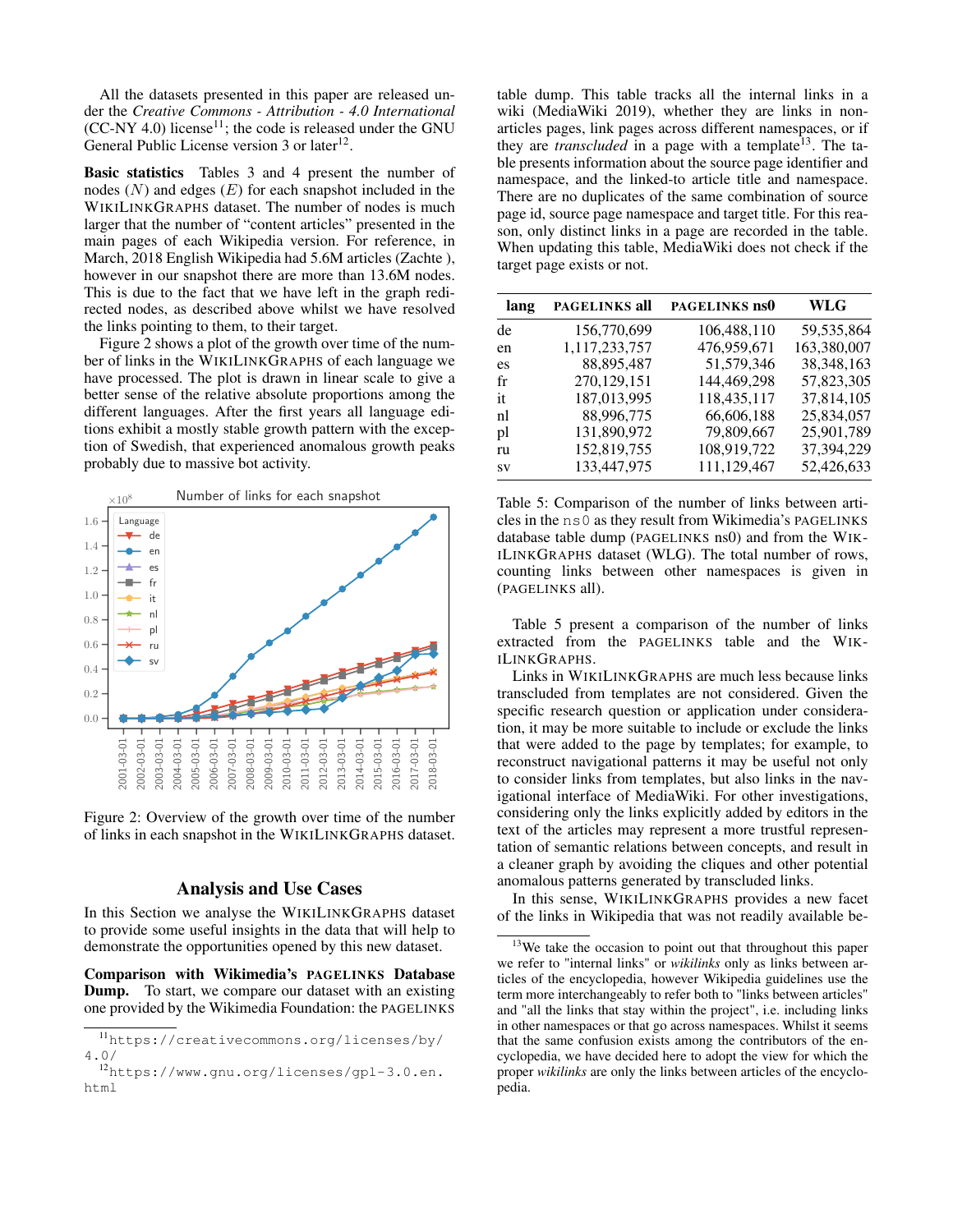All the datasets presented in this paper are released under the *Creative Commons - Attribution - 4.0 International*  $(CC-NY 4.0)$  license<sup>11</sup>; the code is released under the GNU General Public License version 3 or later<sup>12</sup>.

Basic statistics Tables 3 and 4 present the number of nodes  $(N)$  and edges  $(E)$  for each snapshot included in the WIKILINKGRAPHS dataset. The number of nodes is much larger that the number of "content articles" presented in the main pages of each Wikipedia version. For reference, in March, 2018 English Wikipedia had 5.6M articles (Zachte ), however in our snapshot there are more than 13.6M nodes. This is due to the fact that we have left in the graph redirected nodes, as described above whilst we have resolved the links pointing to them, to their target.

Figure 2 shows a plot of the growth over time of the number of links in the WIKILINKGRAPHS of each language we have processed. The plot is drawn in linear scale to give a better sense of the relative absolute proportions among the different languages. After the first years all language editions exhibit a mostly stable growth pattern with the exception of Swedish, that experienced anomalous growth peaks probably due to massive bot activity.



Figure 2: Overview of the growth over time of the number of links in each snapshot in the WIKILINKGRAPHS dataset.

#### Analysis and Use Cases

In this Section we analyse the WIKILINKGRAPHS dataset to provide some useful insights in the data that will help to demonstrate the opportunities opened by this new dataset.

Comparison with Wikimedia's PAGELINKS Database Dump. To start, we compare our dataset with an existing one provided by the Wikimedia Foundation: the PAGELINKS

table dump. This table tracks all the internal links in a wiki (MediaWiki 2019), whether they are links in nonarticles pages, link pages across different namespaces, or if they are *transcluded* in a page with a template<sup>13</sup>. The table presents information about the source page identifier and namespace, and the linked-to article title and namespace. There are no duplicates of the same combination of source page id, source page namespace and target title. For this reason, only distinct links in a page are recorded in the table. When updating this table, MediaWiki does not check if the target page exists or not.

| lang | <b>PAGELINKS all</b> | PAGELINKS ns0 | <b>WLG</b>   |
|------|----------------------|---------------|--------------|
| de   | 156,770,699          | 106,488,110   | 59, 535, 864 |
| en   | 1,117,233,757        | 476,959,671   | 163,380,007  |
| es   | 88,895,487           | 51,579,346    | 38, 348, 163 |
| fr   | 270,129,151          | 144,469,298   | 57,823,305   |
| it   | 187,013,995          | 118,435,117   | 37,814,105   |
| nl   | 88,996,775           | 66,606,188    | 25,834,057   |
| pl   | 131,890,972          | 79,809,667    | 25,901,789   |
| ru   | 152,819,755          | 108,919,722   | 37,394,229   |
| SV   | 133,447,975          | 111,129,467   | 52,426,633   |

Table 5: Comparison of the number of links between articles in the ns0 as they result from Wikimedia's PAGELINKS database table dump (PAGELINKS ns0) and from the WIK-ILINKGRAPHS dataset (WLG). The total number of rows, counting links between other namespaces is given in (PAGELINKS all).

Table 5 present a comparison of the number of links extracted from the PAGELINKS table and the WIK-ILINKGRAPHS.

Links in WIKILINKGRAPHS are much less because links transcluded from templates are not considered. Given the specific research question or application under consideration, it may be more suitable to include or exclude the links that were added to the page by templates; for example, to reconstruct navigational patterns it may be useful not only to consider links from templates, but also links in the navigational interface of MediaWiki. For other investigations, considering only the links explicitly added by editors in the text of the articles may represent a more trustful representation of semantic relations between concepts, and result in a cleaner graph by avoiding the cliques and other potential anomalous patterns generated by transcluded links.

In this sense, WIKILINKGRAPHS provides a new facet of the links in Wikipedia that was not readily available be-

<sup>11</sup>https://creativecommons.org/licenses/by/ 4.0/

<sup>12</sup>https://www.gnu.org/licenses/gpl-3.0.en. html

<sup>&</sup>lt;sup>13</sup>We take the occasion to point out that throughout this paper we refer to "internal links" or *wikilinks* only as links between articles of the encyclopedia, however Wikipedia guidelines use the term more interchangeably to refer both to "links between articles" and "all the links that stay within the project", i.e. including links in other namespaces or that go across namespaces. Whilst it seems that the same confusion exists among the contributors of the encyclopedia, we have decided here to adopt the view for which the proper *wikilinks* are only the links between articles of the encyclopedia.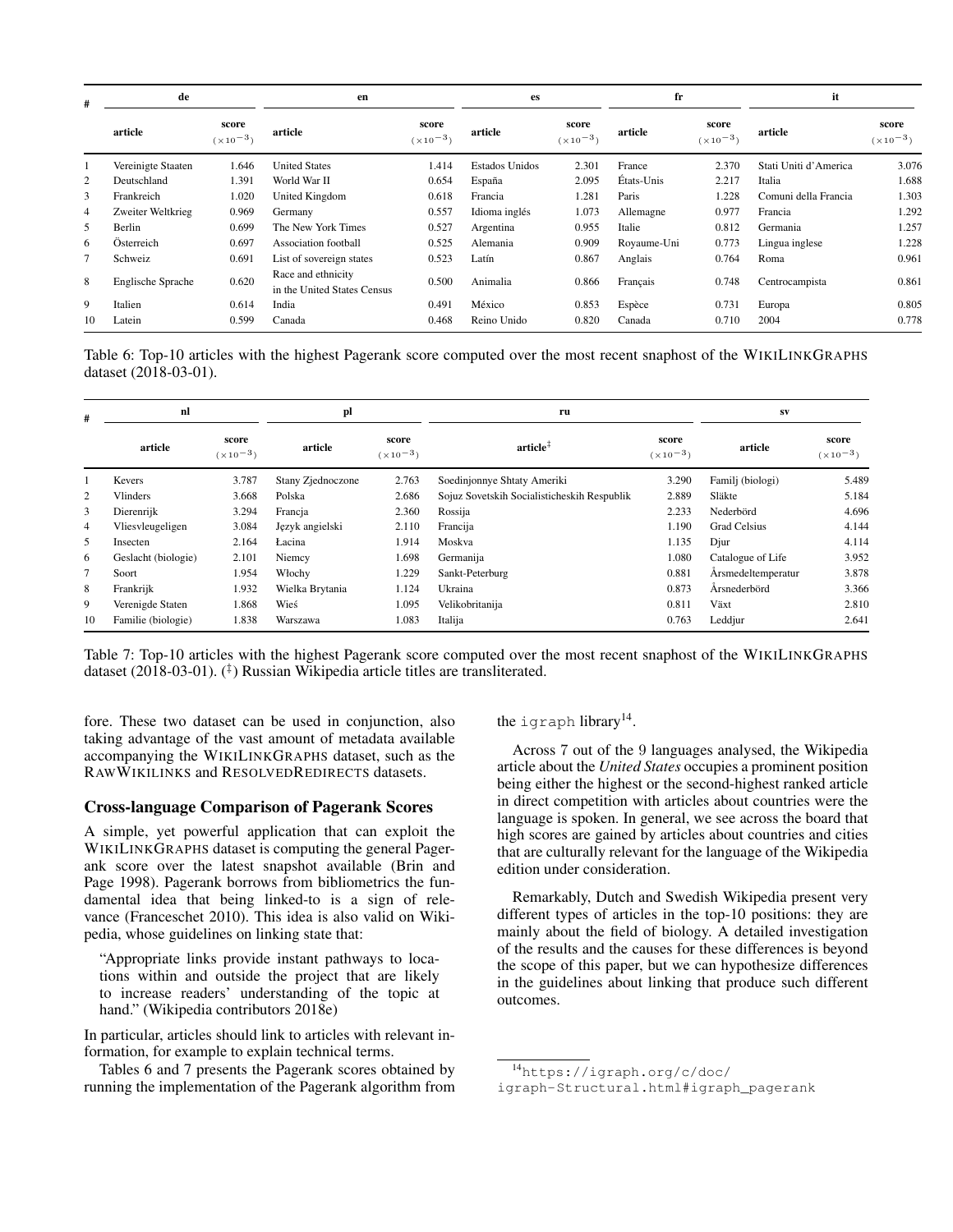| #              | de                       |                       | en                                                |                       | es             |                       | fr          |                       | it                    |                       |
|----------------|--------------------------|-----------------------|---------------------------------------------------|-----------------------|----------------|-----------------------|-------------|-----------------------|-----------------------|-----------------------|
|                | article                  | score<br>$(x10^{-3})$ | article                                           | score<br>$(x10^{-3})$ | article        | score<br>$(x10^{-3})$ | article     | score<br>$(x10^{-3})$ | article               | score<br>$(x10^{-3})$ |
|                | Vereinigte Staaten       | 1.646                 | <b>United States</b>                              | 1.414                 | Estados Unidos | 2.301                 | France      | 2.370                 | Stati Uniti d'America | 3.076                 |
| 2              | Deutschland              | 1.391                 | World War II                                      | 0.654                 | España         | 2.095                 | États-Unis  | 2.217                 | Italia                | 1.688                 |
| 3              | Frankreich               | 1.020                 | United Kingdom                                    | 0.618                 | Francia        | 1.281                 | Paris       | 1.228                 | Comuni della Francia  | 1.303                 |
| $\overline{4}$ | Zweiter Weltkrieg        | 0.969                 | Germany                                           | 0.557                 | Idioma inglés  | 1.073                 | Allemagne   | 0.977                 | Francia               | 1.292                 |
| 5              | Berlin                   | 0.699                 | The New York Times                                | 0.527                 | Argentina      | 0.955                 | Italie      | 0.812                 | Germania              | 1.257                 |
| 6              | Österreich               | 0.697                 | Association football                              | 0.525                 | Alemania       | 0.909                 | Royaume-Uni | 0.773                 | Lingua inglese        | 1.228                 |
|                | Schweiz                  | 0.691                 | List of sovereign states                          | 0.523                 | Latín          | 0.867                 | Anglais     | 0.764                 | Roma                  | 0.961                 |
| 8              | <b>Englische Sprache</b> | 0.620                 | Race and ethnicity<br>in the United States Census | 0.500                 | Animalia       | 0.866                 | Français    | 0.748                 | Centrocampista        | 0.861                 |
| 9              | Italien                  | 0.614                 | India                                             | 0.491                 | México         | 0.853                 | Espèce      | 0.731                 | Europa                | 0.805                 |
| 10             | Latein                   | 0.599                 | Canada                                            | 0.468                 | Reino Unido    | 0.820                 | Canada      | 0.710                 | 2004                  | 0.778                 |

Table 6: Top-10 articles with the highest Pagerank score computed over the most recent snaphost of the WIKILINKGRAPHS dataset (2018-03-01).

| #              | nl                  |                       | pl                |                       | ru                                          | <b>SV</b>             |                     |                             |
|----------------|---------------------|-----------------------|-------------------|-----------------------|---------------------------------------------|-----------------------|---------------------|-----------------------------|
|                | article             | score<br>$(x10^{-3})$ | article           | score<br>$(x10^{-3})$ | $\arctan^{\ddag}$                           | score<br>$(x10^{-3})$ | article             | score<br>$(\times 10^{-3})$ |
|                | Kevers              | 3.787                 | Stany Zjednoczone | 2.763                 | Soedinjonnye Shtaty Ameriki                 | 3.290                 | Familj (biologi)    | 5.489                       |
| 2              | <b>Vlinders</b>     | 3.668                 | Polska            | 2.686                 | Sojuz Sovetskih Socialisticheskih Respublik | 2.889                 | Släkte              | 5.184                       |
| 3              | Dierenrijk          | 3.294                 | Francia           | 2.360                 | Rossija                                     | 2.233                 | Nederbörd           | 4.696                       |
| $\overline{4}$ | Vliesvleugeligen    | 3.084                 | Język angielski   | 2.110                 | Francija                                    | 1.190                 | <b>Grad Celsius</b> | 4.144                       |
| 5              | Insecten            | 2.164                 | Lacina            | 1.914                 | Moskva                                      | 1.135                 | Djur                | 4.114                       |
| 6              | Geslacht (biologie) | 2.101                 | Niemcy            | 1.698                 | Germanija                                   | 1.080                 | Catalogue of Life   | 3.952                       |
| 7              | Soort               | 1.954                 | Włochy            | 1.229                 | Sankt-Peterburg                             | 0.881                 | Årsmedeltemperatur  | 3.878                       |
| 8              | Frankrijk           | 1.932                 | Wielka Brytania   | 1.124                 | Ukraina                                     | 0.873                 | Årsnederbörd        | 3.366                       |
| 9              | Verenigde Staten    | .868                  | Wieś              | 1.095                 | Velikobritanija                             | 0.811                 | Växt                | 2.810                       |
| 10             | Familie (biologie)  | 1.838                 | Warszawa          | 1.083                 | Italija                                     | 0.763                 | Leddjur             | 2.641                       |

Table 7: Top-10 articles with the highest Pagerank score computed over the most recent snaphost of the WIKILINKGRAPHS dataset (2018-03-01). (‡ ) Russian Wikipedia article titles are transliterated.

fore. These two dataset can be used in conjunction, also taking advantage of the vast amount of metadata available accompanying the WIKILINKGRAPHS dataset, such as the RAWWIKILINKS and RESOLVEDREDIRECTS datasets.

### Cross-language Comparison of Pagerank Scores

A simple, yet powerful application that can exploit the WIKILINKGRAPHS dataset is computing the general Pagerank score over the latest snapshot available (Brin and Page 1998). Pagerank borrows from bibliometrics the fundamental idea that being linked-to is a sign of relevance (Franceschet 2010). This idea is also valid on Wikipedia, whose guidelines on linking state that:

"Appropriate links provide instant pathways to locations within and outside the project that are likely to increase readers' understanding of the topic at hand." (Wikipedia contributors 2018e)

In particular, articles should link to articles with relevant information, for example to explain technical terms.

Tables 6 and 7 presents the Pagerank scores obtained by running the implementation of the Pagerank algorithm from the igraph library<sup>14</sup>.

Across 7 out of the 9 languages analysed, the Wikipedia article about the *United States* occupies a prominent position being either the highest or the second-highest ranked article in direct competition with articles about countries were the language is spoken. In general, we see across the board that high scores are gained by articles about countries and cities that are culturally relevant for the language of the Wikipedia edition under consideration.

Remarkably, Dutch and Swedish Wikipedia present very different types of articles in the top-10 positions: they are mainly about the field of biology. A detailed investigation of the results and the causes for these differences is beyond the scope of this paper, but we can hypothesize differences in the guidelines about linking that produce such different outcomes.

<sup>14</sup>https://igraph.org/c/doc/

igraph-Structural.html#igraph\_pagerank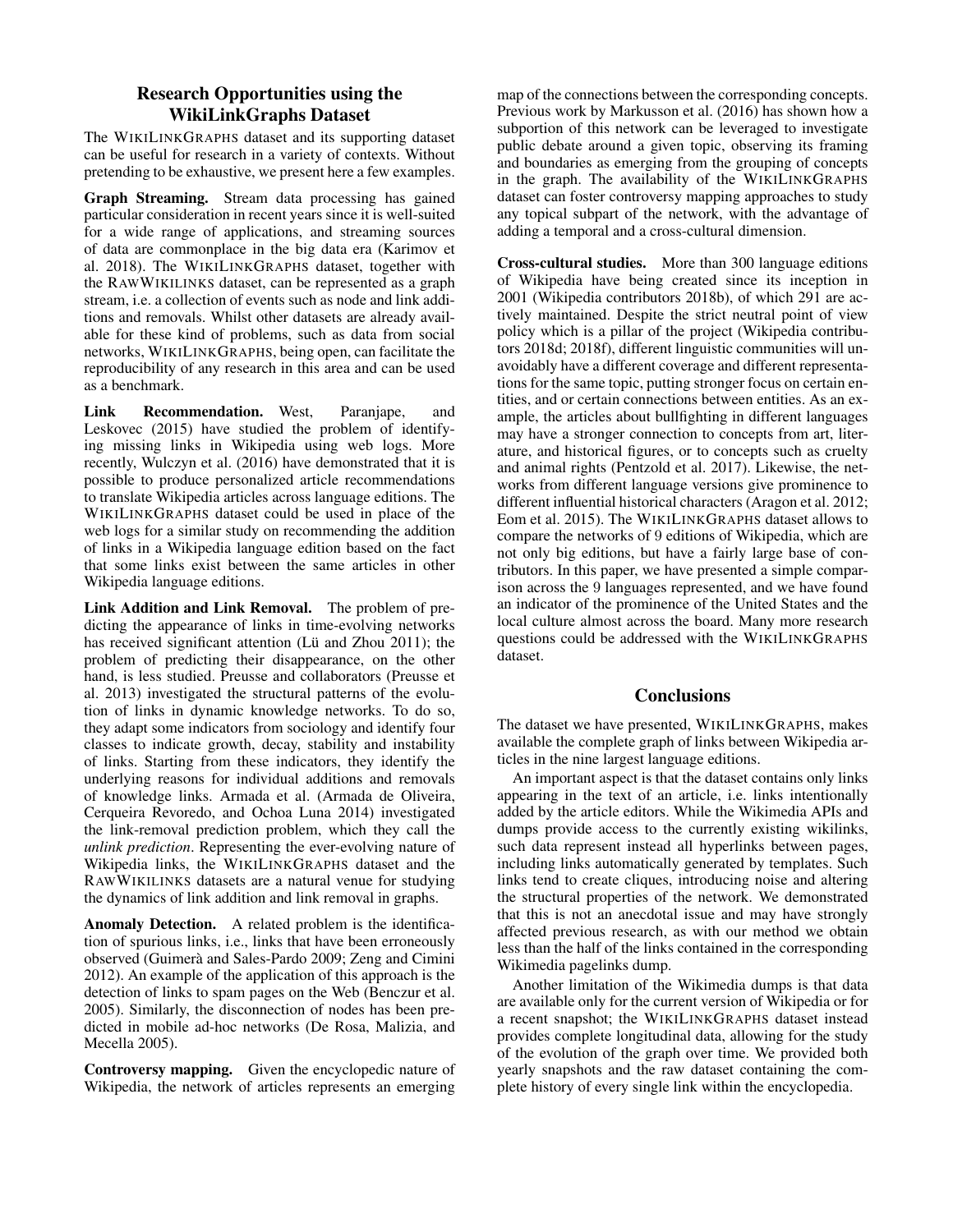# Research Opportunities using the WikiLinkGraphs Dataset

The WIKILINKGRAPHS dataset and its supporting dataset can be useful for research in a variety of contexts. Without pretending to be exhaustive, we present here a few examples.

Graph Streaming. Stream data processing has gained particular consideration in recent years since it is well-suited for a wide range of applications, and streaming sources of data are commonplace in the big data era (Karimov et al. 2018). The WIKILINKGRAPHS dataset, together with the RAWWIKILINKS dataset, can be represented as a graph stream, i.e. a collection of events such as node and link additions and removals. Whilst other datasets are already available for these kind of problems, such as data from social networks, WIKILINKGRAPHS, being open, can facilitate the reproducibility of any research in this area and can be used as a benchmark.

Link Recommendation. West, Paranjape, and Leskovec (2015) have studied the problem of identifying missing links in Wikipedia using web logs. More recently, Wulczyn et al. (2016) have demonstrated that it is possible to produce personalized article recommendations to translate Wikipedia articles across language editions. The WIKILINKGRAPHS dataset could be used in place of the web logs for a similar study on recommending the addition of links in a Wikipedia language edition based on the fact that some links exist between the same articles in other Wikipedia language editions.

Link Addition and Link Removal. The problem of predicting the appearance of links in time-evolving networks has received significant attention (Lü and Zhou 2011); the problem of predicting their disappearance, on the other hand, is less studied. Preusse and collaborators (Preusse et al. 2013) investigated the structural patterns of the evolution of links in dynamic knowledge networks. To do so, they adapt some indicators from sociology and identify four classes to indicate growth, decay, stability and instability of links. Starting from these indicators, they identify the underlying reasons for individual additions and removals of knowledge links. Armada et al. (Armada de Oliveira, Cerqueira Revoredo, and Ochoa Luna 2014) investigated the link-removal prediction problem, which they call the *unlink prediction*. Representing the ever-evolving nature of Wikipedia links, the WIKILINKGRAPHS dataset and the RAWWIKILINKS datasets are a natural venue for studying the dynamics of link addition and link removal in graphs.

Anomaly Detection. A related problem is the identification of spurious links, i.e., links that have been erroneously observed (Guimerà and Sales-Pardo 2009; Zeng and Cimini 2012). An example of the application of this approach is the detection of links to spam pages on the Web (Benczur et al. 2005). Similarly, the disconnection of nodes has been predicted in mobile ad-hoc networks (De Rosa, Malizia, and Mecella 2005).

Controversy mapping. Given the encyclopedic nature of Wikipedia, the network of articles represents an emerging map of the connections between the corresponding concepts. Previous work by Markusson et al. (2016) has shown how a subportion of this network can be leveraged to investigate public debate around a given topic, observing its framing and boundaries as emerging from the grouping of concepts in the graph. The availability of the WIKILINKGRAPHS dataset can foster controversy mapping approaches to study any topical subpart of the network, with the advantage of adding a temporal and a cross-cultural dimension.

Cross-cultural studies. More than 300 language editions of Wikipedia have being created since its inception in 2001 (Wikipedia contributors 2018b), of which 291 are actively maintained. Despite the strict neutral point of view policy which is a pillar of the project (Wikipedia contributors 2018d; 2018f), different linguistic communities will unavoidably have a different coverage and different representations for the same topic, putting stronger focus on certain entities, and or certain connections between entities. As an example, the articles about bullfighting in different languages may have a stronger connection to concepts from art, literature, and historical figures, or to concepts such as cruelty and animal rights (Pentzold et al. 2017). Likewise, the networks from different language versions give prominence to different influential historical characters (Aragon et al. 2012; Eom et al. 2015). The WIKILINKGRAPHS dataset allows to compare the networks of 9 editions of Wikipedia, which are not only big editions, but have a fairly large base of contributors. In this paper, we have presented a simple comparison across the 9 languages represented, and we have found an indicator of the prominence of the United States and the local culture almost across the board. Many more research questions could be addressed with the WIKILINKGRAPHS dataset.

# **Conclusions**

The dataset we have presented, WIKILINKGRAPHS, makes available the complete graph of links between Wikipedia articles in the nine largest language editions.

An important aspect is that the dataset contains only links appearing in the text of an article, i.e. links intentionally added by the article editors. While the Wikimedia APIs and dumps provide access to the currently existing wikilinks, such data represent instead all hyperlinks between pages, including links automatically generated by templates. Such links tend to create cliques, introducing noise and altering the structural properties of the network. We demonstrated that this is not an anecdotal issue and may have strongly affected previous research, as with our method we obtain less than the half of the links contained in the corresponding Wikimedia pagelinks dump.

Another limitation of the Wikimedia dumps is that data are available only for the current version of Wikipedia or for a recent snapshot; the WIKILINKGRAPHS dataset instead provides complete longitudinal data, allowing for the study of the evolution of the graph over time. We provided both yearly snapshots and the raw dataset containing the complete history of every single link within the encyclopedia.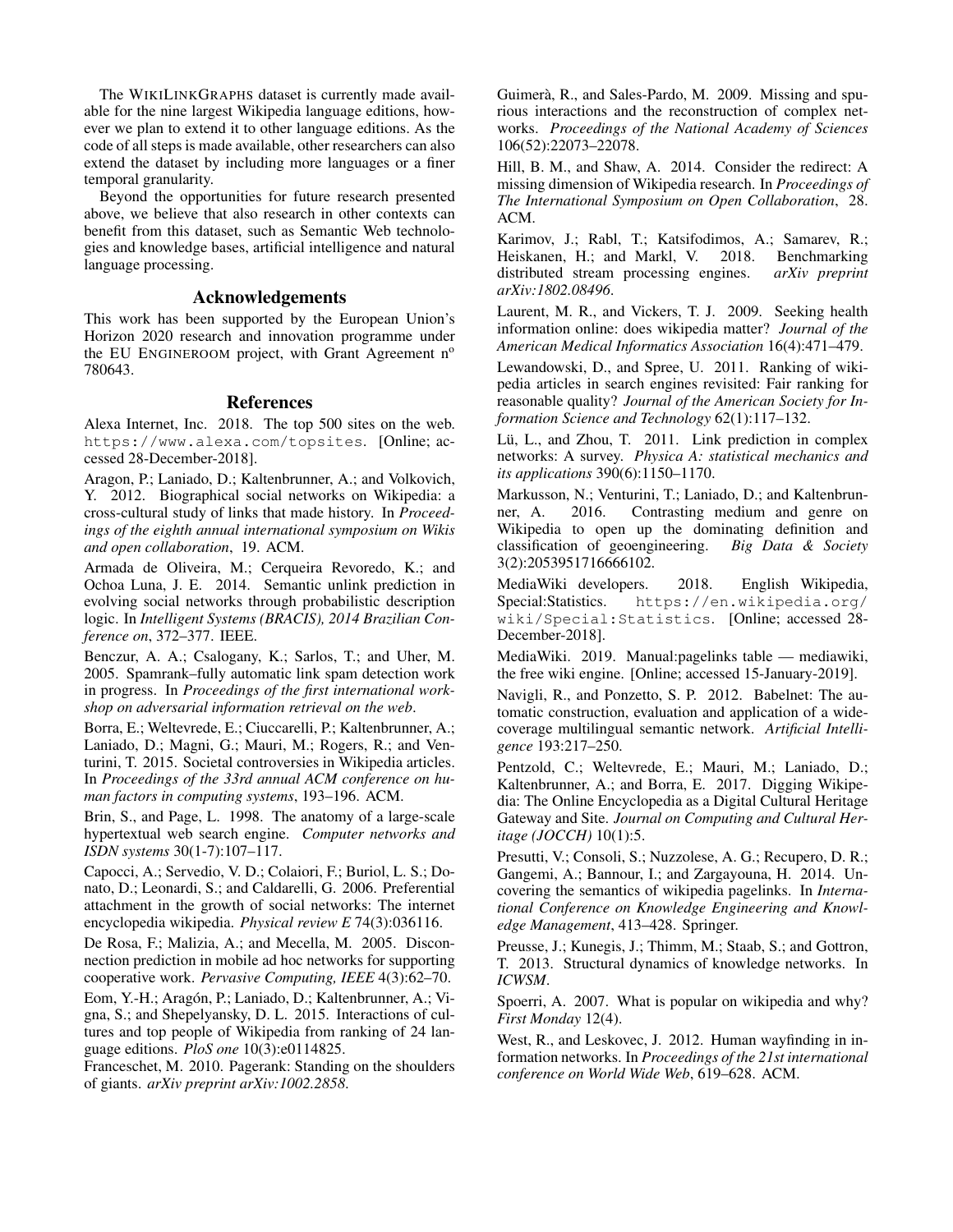The WIKILINKGRAPHS dataset is currently made available for the nine largest Wikipedia language editions, however we plan to extend it to other language editions. As the code of all steps is made available, other researchers can also extend the dataset by including more languages or a finer temporal granularity.

Beyond the opportunities for future research presented above, we believe that also research in other contexts can benefit from this dataset, such as Semantic Web technologies and knowledge bases, artificial intelligence and natural language processing.

#### Acknowledgements

This work has been supported by the European Union's Horizon 2020 research and innovation programme under the EU ENGINEROOM project, with Grant Agreement  $n<sup>o</sup>$ 780643.

### References

Alexa Internet, Inc. 2018. The top 500 sites on the web. https://www.alexa.com/topsites. [Online; accessed 28-December-2018].

Aragon, P.; Laniado, D.; Kaltenbrunner, A.; and Volkovich, Y. 2012. Biographical social networks on Wikipedia: a cross-cultural study of links that made history. In *Proceedings of the eighth annual international symposium on Wikis and open collaboration*, 19. ACM.

Armada de Oliveira, M.; Cerqueira Revoredo, K.; and Ochoa Luna, J. E. 2014. Semantic unlink prediction in evolving social networks through probabilistic description logic. In *Intelligent Systems (BRACIS), 2014 Brazilian Conference on*, 372–377. IEEE.

Benczur, A. A.; Csalogany, K.; Sarlos, T.; and Uher, M. 2005. Spamrank–fully automatic link spam detection work in progress. In *Proceedings of the first international workshop on adversarial information retrieval on the web*.

Borra, E.; Weltevrede, E.; Ciuccarelli, P.; Kaltenbrunner, A.; Laniado, D.; Magni, G.; Mauri, M.; Rogers, R.; and Venturini, T. 2015. Societal controversies in Wikipedia articles. In *Proceedings of the 33rd annual ACM conference on human factors in computing systems*, 193–196. ACM.

Brin, S., and Page, L. 1998. The anatomy of a large-scale hypertextual web search engine. *Computer networks and ISDN systems* 30(1-7):107–117.

Capocci, A.; Servedio, V. D.; Colaiori, F.; Buriol, L. S.; Donato, D.; Leonardi, S.; and Caldarelli, G. 2006. Preferential attachment in the growth of social networks: The internet encyclopedia wikipedia. *Physical review E* 74(3):036116.

De Rosa, F.; Malizia, A.; and Mecella, M. 2005. Disconnection prediction in mobile ad hoc networks for supporting cooperative work. *Pervasive Computing, IEEE* 4(3):62–70.

Eom, Y.-H.; Aragón, P.; Laniado, D.; Kaltenbrunner, A.; Vigna, S.; and Shepelyansky, D. L. 2015. Interactions of cultures and top people of Wikipedia from ranking of 24 language editions. *PloS one* 10(3):e0114825.

Franceschet, M. 2010. Pagerank: Standing on the shoulders of giants. *arXiv preprint arXiv:1002.2858*.

Guimerà, R., and Sales-Pardo, M. 2009. Missing and spurious interactions and the reconstruction of complex networks. *Proceedings of the National Academy of Sciences* 106(52):22073–22078.

Hill, B. M., and Shaw, A. 2014. Consider the redirect: A missing dimension of Wikipedia research. In *Proceedings of The International Symposium on Open Collaboration*, 28. ACM.

Karimov, J.; Rabl, T.; Katsifodimos, A.; Samarev, R.; Heiskanen, H.; and Markl, V. 2018. Benchmarking distributed stream processing engines. *arXiv preprint* distributed stream processing engines. *arXiv:1802.08496*.

Laurent, M. R., and Vickers, T. J. 2009. Seeking health information online: does wikipedia matter? *Journal of the American Medical Informatics Association* 16(4):471–479.

Lewandowski, D., and Spree, U. 2011. Ranking of wikipedia articles in search engines revisited: Fair ranking for reasonable quality? *Journal of the American Society for Information Science and Technology* 62(1):117–132.

Lü, L., and Zhou, T. 2011. Link prediction in complex networks: A survey. *Physica A: statistical mechanics and its applications* 390(6):1150–1170.

Markusson, N.; Venturini, T.; Laniado, D.; and Kaltenbrunner, A. 2016. Contrasting medium and genre on Wikipedia to open up the dominating definition and classification of geoengineering. *Big Data & Society* 3(2):2053951716666102.

MediaWiki developers. 2018. English Wikipedia, Special:Statistics. https://en.wikipedia.org/ wiki/Special:Statistics. [Online; accessed 28- December-2018].

MediaWiki. 2019. Manual:pagelinks table — mediawiki, the free wiki engine. [Online; accessed 15-January-2019].

Navigli, R., and Ponzetto, S. P. 2012. Babelnet: The automatic construction, evaluation and application of a widecoverage multilingual semantic network. *Artificial Intelligence* 193:217–250.

Pentzold, C.; Weltevrede, E.; Mauri, M.; Laniado, D.; Kaltenbrunner, A.; and Borra, E. 2017. Digging Wikipedia: The Online Encyclopedia as a Digital Cultural Heritage Gateway and Site. *Journal on Computing and Cultural Heritage (JOCCH)* 10(1):5.

Presutti, V.; Consoli, S.; Nuzzolese, A. G.; Recupero, D. R.; Gangemi, A.; Bannour, I.; and Zargayouna, H. 2014. Uncovering the semantics of wikipedia pagelinks. In *International Conference on Knowledge Engineering and Knowledge Management*, 413–428. Springer.

Preusse, J.; Kunegis, J.; Thimm, M.; Staab, S.; and Gottron, T. 2013. Structural dynamics of knowledge networks. In *ICWSM*.

Spoerri, A. 2007. What is popular on wikipedia and why? *First Monday* 12(4).

West, R., and Leskovec, J. 2012. Human wayfinding in information networks. In *Proceedings of the 21st international conference on World Wide Web*, 619–628. ACM.